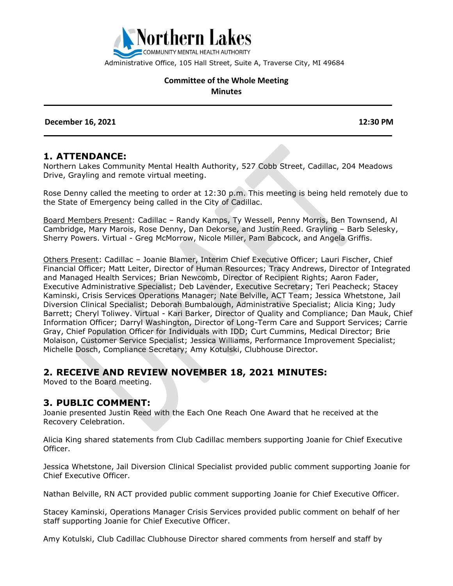

Administrative Office, 105 Hall Street, Suite A, Traverse City, MI 49684

#### **Committee of the Whole Meeting Minutes**

**December 16, 2021 12:30 PM** 

#### **1. ATTENDANCE:**

Northern Lakes Community Mental Health Authority, 527 Cobb Street, Cadillac, 204 Meadows Drive, Grayling and remote virtual meeting.

Rose Denny called the meeting to order at 12:30 p.m. This meeting is being held remotely due to the State of Emergency being called in the City of Cadillac.

Board Members Present: Cadillac – Randy Kamps, Ty Wessell, Penny Morris, Ben Townsend, Al Cambridge, Mary Marois, Rose Denny, Dan Dekorse, and Justin Reed. Grayling – Barb Selesky, Sherry Powers. Virtual - Greg McMorrow, Nicole Miller, Pam Babcock, and Angela Griffis.

Others Present: Cadillac – Joanie Blamer, Interim Chief Executive Officer; Lauri Fischer, Chief Financial Officer; Matt Leiter, Director of Human Resources; Tracy Andrews, Director of Integrated and Managed Health Services; Brian Newcomb, Director of Recipient Rights; Aaron Fader, Executive Administrative Specialist; Deb Lavender, Executive Secretary; Teri Peacheck; Stacey Kaminski, Crisis Services Operations Manager; Nate Belville, ACT Team; Jessica Whetstone, Jail Diversion Clinical Specialist; Deborah Bumbalough, Administrative Specialist; Alicia King; Judy Barrett; Cheryl Toliwey. Virtual - Kari Barker, Director of Quality and Compliance; Dan Mauk, Chief Information Officer; Darryl Washington, Director of Long-Term Care and Support Services; Carrie Gray, Chief Population Officer for Individuals with IDD; Curt Cummins, Medical Director; Brie Molaison, Customer Service Specialist; Jessica Williams, Performance Improvement Specialist; Michelle Dosch, Compliance Secretary; Amy Kotulski, Clubhouse Director.

#### **2. RECEIVE AND REVIEW NOVEMBER 18, 2021 MINUTES:**

Moved to the Board meeting.

#### **3. PUBLIC COMMENT:**

Joanie presented Justin Reed with the Each One Reach One Award that he received at the Recovery Celebration.

Alicia King shared statements from Club Cadillac members supporting Joanie for Chief Executive Officer.

Jessica Whetstone, Jail Diversion Clinical Specialist provided public comment supporting Joanie for Chief Executive Officer.

Nathan Belville, RN ACT provided public comment supporting Joanie for Chief Executive Officer.

Stacey Kaminski, Operations Manager Crisis Services provided public comment on behalf of her staff supporting Joanie for Chief Executive Officer.

Amy Kotulski, Club Cadillac Clubhouse Director shared comments from herself and staff by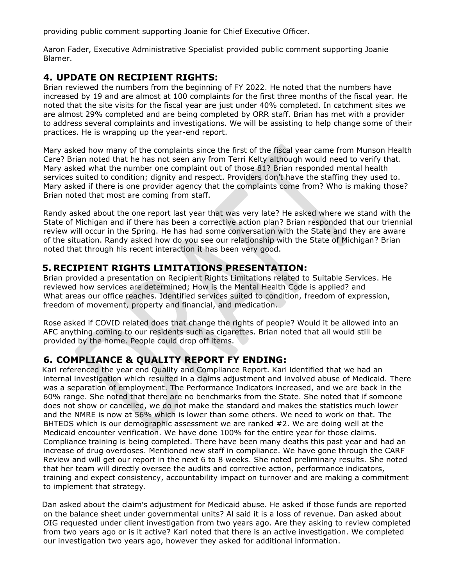providing public comment supporting Joanie for Chief Executive Officer.

Aaron Fader, Executive Administrative Specialist provided public comment supporting Joanie Blamer.

### **4. UPDATE ON RECIPIENT RIGHTS:**

Brian reviewed the numbers from the beginning of FY 2022. He noted that the numbers have increased by 19 and are almost at 100 complaints for the first three months of the fiscal year. He noted that the site visits for the fiscal year are just under 40% completed. In catchment sites we are almost 29% completed and are being completed by ORR staff. Brian has met with a provider to address several complaints and investigations. We will be assisting to help change some of their practices. He is wrapping up the year-end report.

Mary asked how many of the complaints since the first of the fiscal year came from Munson Health Care? Brian noted that he has not seen any from Terri Kelty although would need to verify that. Mary asked what the number one complaint out of those 81? Brian responded mental health services suited to condition; dignity and respect. Providers don't have the staffing they used to. Mary asked if there is one provider agency that the complaints come from? Who is making those? Brian noted that most are coming from staff.

Randy asked about the one report last year that was very late? He asked where we stand with the State of Michigan and if there has been a corrective action plan? Brian responded that our triennial review will occur in the Spring. He has had some conversation with the State and they are aware of the situation. Randy asked how do you see our relationship with the State of Michigan? Brian noted that through his recent interaction it has been very good.

### **5. RECIPIENT RIGHTS LIMITATIONS PRESENTATION:**

Brian provided a presentation on Recipient Rights Limitations related to Suitable Services. He reviewed how services are determined; How is the Mental Health Code is applied? and What areas our office reaches. Identified services suited to condition, freedom of expression, freedom of movement, property and financial, and medication.

Rose asked if COVID related does that change the rights of people? Would it be allowed into an AFC anything coming to our residents such as cigarettes. Brian noted that all would still be provided by the home. People could drop off items.

## **6. COMPLIANCE & QUALITY REPORT FY ENDING:**

Kari referenced the year end Quality and Compliance Report. Kari identified that we had an internal investigation which resulted in a claims adjustment and involved abuse of Medicaid. There was a separation of employment. The Performance Indicators increased, and we are back in the 60% range. She noted that there are no benchmarks from the State. She noted that if someone does not show or cancelled, we do not make the standard and makes the statistics much lower and the NMRE is now at 56% which is lower than some others. We need to work on that. The BHTEDS which is our demographic assessment we are ranked #2. We are doing well at the Medicaid encounter verification. We have done 100% for the entire year for those claims. Compliance training is being completed. There have been many deaths this past year and had an increase of drug overdoses. Mentioned new staff in compliance. We have gone through the CARF Review and will get our report in the next 6 to 8 weeks. She noted preliminary results. She noted that her team will directly oversee the audits and corrective action, performance indicators, training and expect consistency, accountability impact on turnover and are making a commitment to implement that strategy.

Dan asked about the claim's adjustment for Medicaid abuse. He asked if those funds are reported on the balance sheet under governmental units? Al said it is a loss of revenue. Dan asked about OIG requested under client investigation from two years ago. Are they asking to review completed from two years ago or is it active? Kari noted that there is an active investigation. We completed our investigation two years ago, however they asked for additional information.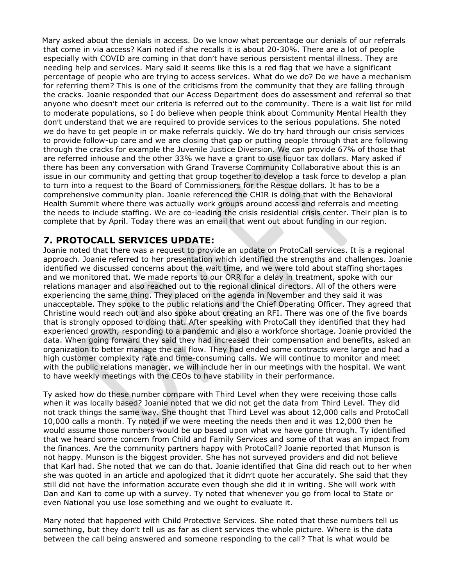Mary asked about the denials in access. Do we know what percentage our denials of our referrals that come in via access? Kari noted if she recalls it is about 20-30%. There are a lot of people especially with COVID are coming in that don't have serious persistent mental illness. They are needing help and services. Mary said it seems like this is a red flag that we have a significant percentage of people who are trying to access services. What do we do? Do we have a mechanism for referring them? This is one of the criticisms from the community that they are falling through the cracks. Joanie responded that our Access Department does do assessment and referral so that anyone who doesn't meet our criteria is referred out to the community. There is a wait list for mild to moderate populations, so I do believe when people think about Community Mental Health they don't understand that we are required to provide services to the serious populations. She noted we do have to get people in or make referrals quickly. We do try hard through our crisis services to provide follow-up care and we are closing that gap or putting people through that are following through the cracks for example the Juvenile Justice Diversion. We can provide 67% of those that are referred inhouse and the other 33% we have a grant to use liquor tax dollars. Mary asked if there has been any conversation with Grand Traverse Community Collaborative about this is an issue in our community and getting that group together to develop a task force to develop a plan to turn into a request to the Board of Commissioners for the Rescue dollars. It has to be a comprehensive community plan. Joanie referenced the CHIR is doing that with the Behavioral Health Summit where there was actually work groups around access and referrals and meeting the needs to include staffing. We are co-leading the crisis residential crisis center. Their plan is to complete that by April. Today there was an email that went out about funding in our region.

# **7. PROTOCALL SERVICES UPDATE:**

Joanie noted that there was a request to provide an update on ProtoCall services. It is a regional approach. Joanie referred to her presentation which identified the strengths and challenges. Joanie identified we discussed concerns about the wait time, and we were told about staffing shortages and we monitored that. We made reports to our ORR for a delay in treatment, spoke with our relations manager and also reached out to the regional clinical directors. All of the others were experiencing the same thing. They placed on the agenda in November and they said it was unacceptable. They spoke to the public relations and the Chief Operating Officer. They agreed that Christine would reach out and also spoke about creating an RFI. There was one of the five boards that is strongly opposed to doing that. After speaking with ProtoCall they identified that they had experienced growth, responding to a pandemic and also a workforce shortage. Joanie provided the data. When going forward they said they had increased their compensation and benefits, asked an organization to better manage the call flow. They had ended some contracts were large and had a high customer complexity rate and time-consuming calls. We will continue to monitor and meet with the public relations manager, we will include her in our meetings with the hospital. We want to have weekly meetings with the CEOs to have stability in their performance.

Ty asked how do these number compare with Third Level when they were receiving those calls when it was locally based? Joanie noted that we did not get the data from Third Level. They did not track things the same way. She thought that Third Level was about 12,000 calls and ProtoCall 10,000 calls a month. Ty noted if we were meeting the needs then and it was 12,000 then he would assume those numbers would be up based upon what we have gone through. Ty identified that we heard some concern from Child and Family Services and some of that was an impact from the finances. Are the community partners happy with ProtoCall? Joanie reported that Munson is not happy. Munson is the biggest provider. She has not surveyed providers and did not believe that Karl had. She noted that we can do that. Joanie identified that Gina did reach out to her when she was quoted in an article and apologized that it didn't quote her accurately. She said that they still did not have the information accurate even though she did it in writing. She will work with Dan and Kari to come up with a survey. Ty noted that whenever you go from local to State or even National you use lose something and we ought to evaluate it.

Mary noted that happened with Child Protective Services. She noted that these numbers tell us something, but they don't tell us as far as client services the whole picture. Where is the data between the call being answered and someone responding to the call? That is what would be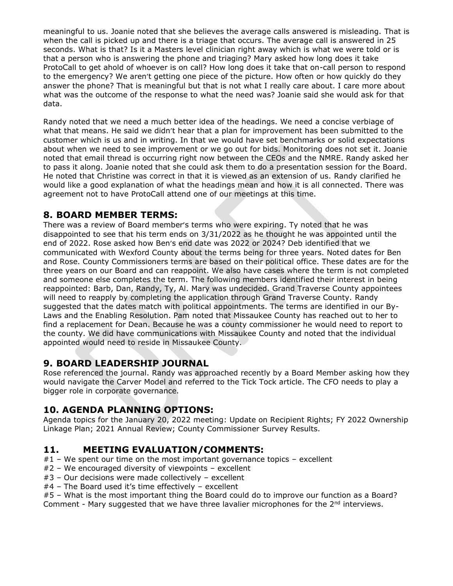meaningful to us. Joanie noted that she believes the average calls answered is misleading. That is when the call is picked up and there is a triage that occurs. The average call is answered in 25 seconds. What is that? Is it a Masters level clinician right away which is what we were told or is that a person who is answering the phone and triaging? Mary asked how long does it take ProtoCall to get ahold of whoever is on call? How long does it take that on-call person to respond to the emergency? We aren't getting one piece of the picture. How often or how quickly do they answer the phone? That is meaningful but that is not what I really care about. I care more about what was the outcome of the response to what the need was? Joanie said she would ask for that data.

Randy noted that we need a much better idea of the headings. We need a concise verbiage of what that means. He said we didn't hear that a plan for improvement has been submitted to the customer which is us and in writing. In that we would have set benchmarks or solid expectations about when we need to see improvement or we go out for bids. Monitoring does not set it. Joanie noted that email thread is occurring right now between the CEOs and the NMRE. Randy asked her to pass it along. Joanie noted that she could ask them to do a presentation session for the Board. He noted that Christine was correct in that it is viewed as an extension of us. Randy clarified he would like a good explanation of what the headings mean and how it is all connected. There was agreement not to have ProtoCall attend one of our meetings at this time.

# **8. BOARD MEMBER TERMS:**

There was a review of Board member's terms who were expiring. Ty noted that he was disappointed to see that his term ends on 3/31/2022 as he thought he was appointed until the end of 2022. Rose asked how Ben's end date was 2022 or 2024? Deb identified that we communicated with Wexford County about the terms being for three years. Noted dates for Ben and Rose. County Commissioners terms are based on their political office. These dates are for the three years on our Board and can reappoint. We also have cases where the term is not completed and someone else completes the term. The following members identified their interest in being reappointed: Barb, Dan, Randy, Ty, Al. Mary was undecided. Grand Traverse County appointees will need to reapply by completing the application through Grand Traverse County. Randy suggested that the dates match with political appointments. The terms are identified in our By-Laws and the Enabling Resolution. Pam noted that Missaukee County has reached out to her to find a replacement for Dean. Because he was a county commissioner he would need to report to the county. We did have communications with Missaukee County and noted that the individual appointed would need to reside in Missaukee County.

# **9. BOARD LEADERSHIP JOURNAL**

Rose referenced the journal. Randy was approached recently by a Board Member asking how they would navigate the Carver Model and referred to the Tick Tock article. The CFO needs to play a bigger role in corporate governance.

## **10. AGENDA PLANNING OPTIONS:**

Agenda topics for the January 20, 2022 meeting: Update on Recipient Rights; FY 2022 Ownership Linkage Plan; 2021 Annual Review; County Commissioner Survey Results.

## **11. MEETING EVALUATION/COMMENTS:**

- $#1$  We spent our time on the most important governance topics excellent
- #2 We encouraged diversity of viewpoints excellent
- #3 Our decisions were made collectively excellent
- #4 The Board used it's time effectively excellent
- #5 What is the most important thing the Board could do to improve our function as a Board?

Comment - Mary suggested that we have three lavalier microphones for the  $2^{nd}$  interviews.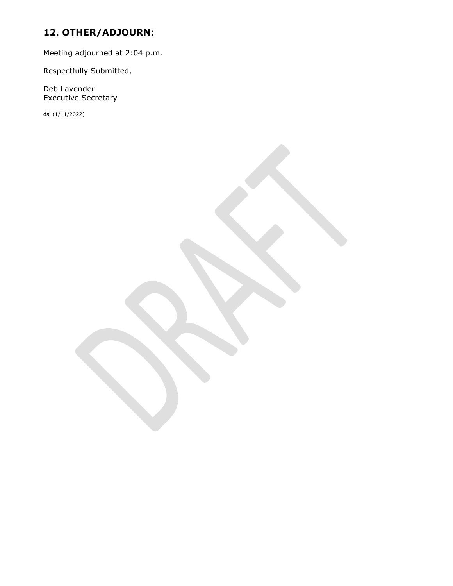# **12. OTHER/ADJOURN:**

Meeting adjourned at 2:04 p.m.

Respectfully Submitted,

Deb Lavender Executive Secretary

dsl (1/11/2022)